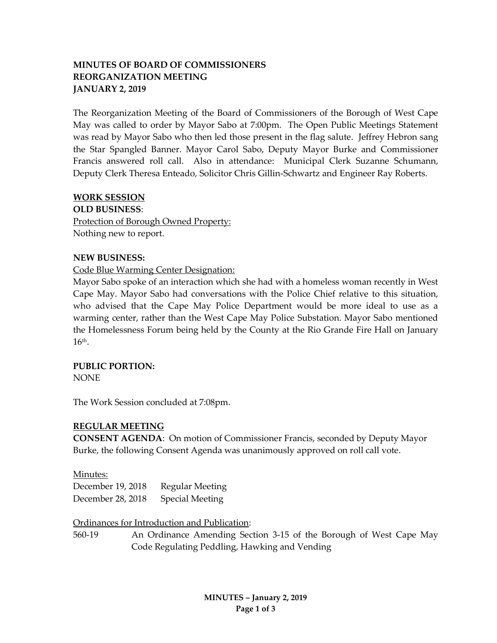# **MINUTES OF BOARD OF COMMISSIONERS REORGANIZATION MEETING JANUARY 2, 2019**

The Reorganization Meeting of the Board of Commissioners of the Borough of West Cape May was called to order by Mayor Sabo at 7:00pm. The Open Public Meetings Statement was read by Mayor Sabo who then led those present in the flag salute. Jeffrey Hebron sang the Star Spangled Banner. Mayor Carol Sabo, Deputy Mayor Burke and Commissioner Francis answered roll call. Also in attendance: Municipal Clerk Suzanne Schumann, Deputy Clerk Theresa Enteado, Solicitor Chris Gillin-Schwartz and Engineer Ray Roberts.

#### **WORK SESSION**

**OLD BUSINESS**: Protection of Borough Owned Property: Nothing new to report.

#### **NEW BUSINESS:**

### Code Blue Warming Center Designation:

Mayor Sabo spoke of an interaction which she had with a homeless woman recently in West Cape May. Mayor Sabo had conversations with the Police Chief relative to this situation, who advised that the Cape May Police Department would be more ideal to use as a warming center, rather than the West Cape May Police Substation. Mayor Sabo mentioned the Homelessness Forum being held by the County at the Rio Grande Fire Hall on January  $16<sup>th</sup>$ .

### **PUBLIC PORTION:**

NONE

The Work Session concluded at 7:08pm.

### **REGULAR MEETING**

**CONSENT AGENDA**: On motion of Commissioner Francis, seconded by Deputy Mayor Burke, the following Consent Agenda was unanimously approved on roll call vote.

#### Minutes:

December 19, 2018 Regular Meeting December 28, 2018 Special Meeting

Ordinances for Introduction and Publication:

560-19 An Ordinance Amending Section 3-15 of the Borough of West Cape May Code Regulating Peddling, Hawking and Vending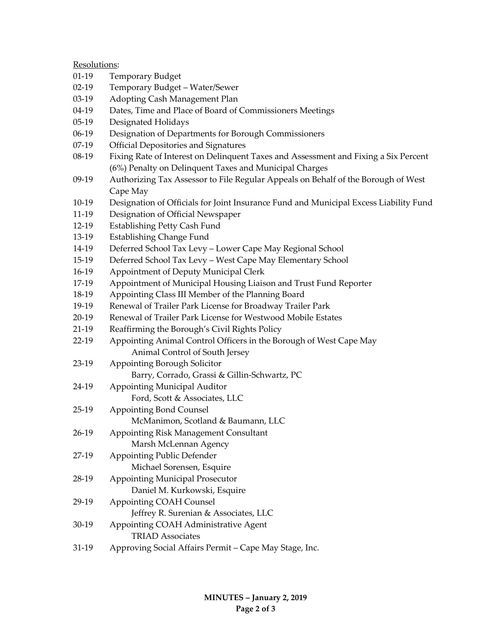Resolutions:

- 01-19 Temporary Budget
- 02-19 Temporary Budget Water/Sewer
- 03-19 Adopting Cash Management Plan
- 04-19 Dates, Time and Place of Board of Commissioners Meetings
- 05-19 Designated Holidays
- 06-19 Designation of Departments for Borough Commissioners
- 07-19 Official Depositories and Signatures
- 08-19 Fixing Rate of Interest on Delinquent Taxes and Assessment and Fixing a Six Percent (6%) Penalty on Delinquent Taxes and Municipal Charges
- 09-19 Authorizing Tax Assessor to File Regular Appeals on Behalf of the Borough of West Cape May
- 10-19 Designation of Officials for Joint Insurance Fund and Municipal Excess Liability Fund
- 11-19 Designation of Official Newspaper
- 12-19 Establishing Petty Cash Fund
- 13-19 Establishing Change Fund
- 14-19 Deferred School Tax Levy Lower Cape May Regional School
- 15-19 Deferred School Tax Levy West Cape May Elementary School
- 16-19 Appointment of Deputy Municipal Clerk
- 17-19 Appointment of Municipal Housing Liaison and Trust Fund Reporter
- 18-19 Appointing Class III Member of the Planning Board
- 19-19 Renewal of Trailer Park License for Broadway Trailer Park
- 20-19 Renewal of Trailer Park License for Westwood Mobile Estates
- 21-19 Reaffirming the Borough's Civil Rights Policy
- 22-19 Appointing Animal Control Officers in the Borough of West Cape May Animal Control of South Jersey
- 23-19 Appointing Borough Solicitor
	- Barry, Corrado, Grassi & Gillin-Schwartz, PC
- 24-19 Appointing Municipal Auditor
	- Ford, Scott & Associates, LLC
- 25-19 Appointing Bond Counsel McManimon, Scotland & Baumann, LLC
- 26-19 Appointing Risk Management Consultant Marsh McLennan Agency
- 27-19 Appointing Public Defender
- Michael Sorensen, Esquire 28-19 Appointing Municipal Prosecutor
	- Daniel M. Kurkowski, Esquire
- 29-19 Appointing COAH Counsel Jeffrey R. Surenian & Associates, LLC 30-19 Appointing COAH Administrative Agent
	- TRIAD Associates
- 31-19 Approving Social Affairs Permit Cape May Stage, Inc.